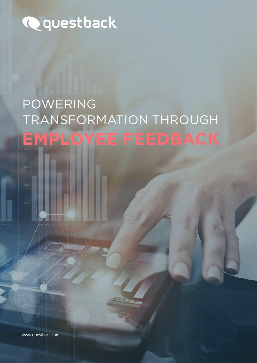# **Q**questback

# **EMPLOYEE FEEDBACK** POWERING TRANSFORMATION THROUGH

www.questback.com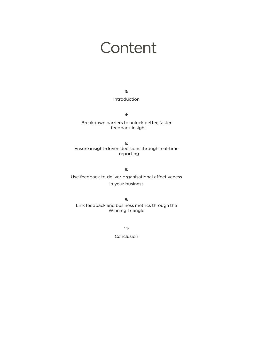## **Content**

3:

#### Introduction

4:

Breakdown barriers to unlock better, faster feedback insight

6: Ensure insight-driven decisions through real-time reporting

8:

Use feedback to deliver organisational effectiveness in your business

9: Link feedback and business metrics through the Winning Triangle

> 11: Conclusion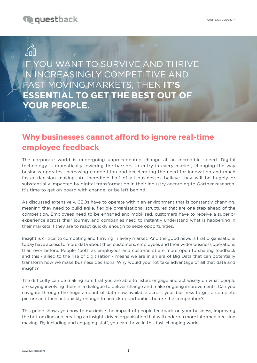

## $\widehat{h}$

IF YOU WANT TO SURVIVE AND THRIVE IN INCREASINGLY COMPETITIVE AND FAST MOVING MARKETS, THEN **IT'S ESSENTIAL TO GET THE BEST OUT OF YOUR PEOPLE.**

## **Why businesses cannot afford to ignore real-time employee feedback**

The corporate world is undergoing unprecedented change at an incredible speed. Digital technology is dramatically lowering the barriers to entry in every market, changing the way business operates, increasing competition and accelerating the need for innovation and much faster decision making. An incredible half of all businesses believe they will be hugely or substantially impacted by digital transformation in their industry according to Gartner research. It's time to get on board with change, or be left behind.

As discussed extensively, CEOs have to operate within an environment that is constantly changing, meaning they need to build agile, flexible organisational structures that are one step ahead of the competition. Employees need to be engaged and mobilised, customers have to receive a superior experience across their journey and companies need to instantly understand what is happening in their markets if they are to react quickly enough to seize opportunities.

Insight is critical to competing and thriving in every market. And the good news is that organisations today have access to more data about their customers, employees and their wider business operations than ever before. People (both as employees and customers) are more open to sharing feedback and this - allied to the rise of digitisation - means we are in an era of Big Data that can potentially transform how we make business decisions. Why would you not take advantage of all that data and insight?

The difficulty can be making sure that you are able to listen, engage and act wisely on what people are saying involving them in a dialogue to deliver change and make ongoing improvements. Can you navigate through the huge amount of data now available across your business to get a complete picture and then act quickly enough to unlock opportunities before the competition?

This guide shows you how to maximise the impact of people feedback on your business, improving the bottom line and creating an insight-driven organisation that will underpin more informed decision making. By including and engaging staff, you can thrive in this fast-changing world.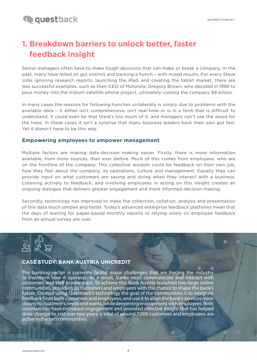## **1. Breakdown barriers to unlock better, faster feedback insight**

Senior managers often have to make tough decisions that can make or break a company. In the past, many have relied on gut instinct and backing a hunch – with mixed results. For every Steve Jobs ignoring research reports, launching the iPad, and creating the tablet market, there are less successful examples, such as then-CEO of Motorola, Gregory Brown, who decided in 1998 to pour money into the Iridium satellite phone project, ultimately costing the company \$8 billion.

In many cases the reasons for following hunches unilaterally is simply due to problems with the available data – it either isn't comprehensive, isn't real-time or is in a form that is difficult to understand. It could even be that there's too much of it, and managers can't see the wood for the trees. In these cases it isn't a surprise that many business leaders back their own gut feel. Yet it doesn't have to be this way.

#### **Empowering employees to empower management**

Multiple factors are making data-decision making easier. Firstly, there is more information available, from more sources, than ever before. Much of this comes from employees, who are on the frontline of the company. This collective wisdom could be feedback on their own job, how they feel about the company, its operations, culture and management. Equally they can provide input on what customers are saying and doing when they interact with a business. Listening actively to feedback, and involving employees in acting on this insight creates an ongoing dialogue that delivers greater engagement and more informed decision making.

Secondly, technology has improved to make the collection, collation, analysis and presentation of this data much simpler and faster. Today's advanced enterprise feedback platforms mean that the days of waiting for paper-based monthly reports or relying solely on employee feedback from an annual survey are over.

### **CASE STUDY: BANK AUSTRIA UNICREDIT**

The banking sector is currently facing major challenges that are forcing the industry to transform how it operates. As a result, banks must communicate and interact with customers and staff in new ways. To achieve this Bank Austria launched two large online communities, providing its customers and employees with the chance to shape the bank's future. Created using Questback's technology the goal of the communities is to integrate feedback from both customers and employees, and use it to align the bank's services more closely to customer's needs and wants, while deepening engagement with employees. Both communities have increased engagement and provided effective insight that has helped drive change. In just over two years, a total of around 7,000 customers and employees are active in the two communities.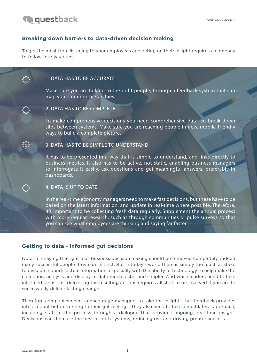

෫෮ඁ෫

ड़॔ॖॕड़

#### **Breaking down barriers to data-driven decision making**

To get the most from listening to your employees and acting on their insight requires a company to follow four key rules:

#### 1. DATA HAS TO BE ACCURATE

Make sure you are talking to the right people, through a feedback system that can map your complex hierarchies.

#### 2. DATA HAS TO BE COMPLETE

To make comprehensive decisions you need comprehensive data, so break down silos between systems. Make sure you are reaching people in new, mobile-friendly ways to build a complete picture.

#### 3. DATA HAS TO BE SIMPLE TO UNDERSTAND

It has to be presented in a way that is simple to understand, and links directly to business metrics. It also has to be active, not static, enabling business managers to interrogate it easily, ask questions and get meaningful answers, preferably in dashboards.

#### 4. DATA IS UP TO DATE

In the real-time economy managers need to make fast decisions, but these have to be based on the latest information, and update in real-time where possible. Therefore, it's important to be collecting fresh data regularly. Supplement the annual process with more regular research, such as through communities or pulse surveys so that you can see what employees are thinking and saying far faster.

#### **Getting to data - informed gut decisions**

No one is saying that 'gut feel' business decision making should be removed completely, indeed many successful people thrive on instinct. But in today's world there is simply too much at stake to discount sound, factual information, especially with the ability of technology to help make the collection, analysis and display of data much faster and simpler. And while leaders need to take informed decisions, delivering the resulting actions requires all staff to be involved if you are to successfully deliver lasting changes.

Therefore companies need to encourage managers to take the insights that feedback provides into account before turning to their gut feelings. They also need to take a multilateral approach, including staff in the process through a dialogue that provides ongoing, real-time insight. Decisions can then use the best of both systems, reducing risk and driving greater success.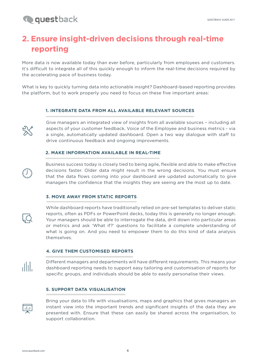## **Q**questback

## **2. Ensure insight-driven decisions through real-time reporting**

More data is now available today than ever before, particularly from employees and customers. It's difficult to integrate all of this quickly enough to inform the real-time decisions required by the accelerating pace of business today.

What is key to quickly turning data into actionable insight? Dashboard-based reporting provides the platform, but to work properly you need to focus on these five important areas:

#### **1. INTEGRATE DATA FROM ALL AVAILABLE RELEVANT SOURCES**



Give managers an integrated view of insights from all available sources – including all aspects of your customer feedback, Voice of the Employee and business metrics - via a single, automatically updated dashboard. Open a two way dialogue with staff to drive continuous feedback and ongoing improvements.

#### **2. MAKE INFORMATION AVAILABLE IN REAL-TIME**

Business success today is closely tied to being agile, flexible and able to make effective decisions faster. Older data might result in the wrong decisions. You must ensure that the data flows coming into your dashboard are updated automatically to give managers the confidence that the insights they are seeing are the most up to date.

#### **3. MOVE AWAY FROM STATIC REPORTS**

While dashboard reports have traditionally relied on pre-set templates to deliver static reports, often as PDFs or PowerPoint decks, today this is generally no longer enough. Your managers should be able to interrogate the data, drill down into particular areas or metrics and ask 'What if?' questions to facilitate a complete understanding of what is going on. And you need to empower them to do this kind of data analysis themselves.

#### **4. GIVE THEM CUSTOMISED REPORTS**

Different managers and departments will have different requirements. This means your dashboard reporting needs to support easy tailoring and customisation of reports for specific groups, and individuals should be able to easily personalise their views.

#### **5. SUPPORT DATA VISUALISATION**



ahl.

Bring your data to life with visualisations, maps and graphics that gives managers an instant view into the important trends and significant insights of the data they are presented with. Ensure that these can easily be shared across the organisation, to support collaboration.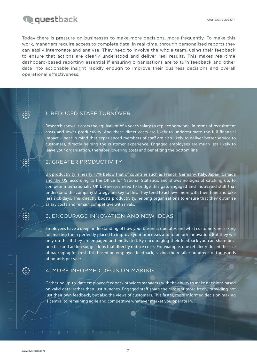

န်ဝိန်

Today there is pressure on businesses to make more decisions, more frequently. To make this work, managers require access to complete data, in real-time, through personalised reports they can easily interrogate and analyse. They need to involve the whole team, using their feedback to ensure that actions are clearly understood and deliver real results. This makes real-time dashboard-based reporting essential if ensuring organisations are to turn feedback and other data into actionable insight rapidly enough to improve their business decisions and overall operational effectiveness.

#### 1. REDUCED STAFF TURNOVER

Research shows it costs the equivalent of a year's salary to replace someone, in terms of recruitment costs and lower productivity. And these direct costs are likely to underestimate the full financial impact – bear in mind that experienced members of staff are also likely to deliver better service to customers, directly helping the customer experience. Engaged employees are much less likely to leave your organisation. therefore lowering costs and benefiting the bottom line.

#### 2. GREATER PRODUCTIVITY

[UK productivity is nearly 17% below that of countries such as France, Germany, Italy, Japan, Canada](https://www.ons.gov.uk/economy/economicoutputandproductivity/productivitymeasures/bulletins/internationalcomparisonsofproductivityfinalestimates/2015) [and the US](https://www.ons.gov.uk/economy/economicoutputandproductivity/productivitymeasures/bulletins/internationalcomparisonsofproductivityfinalestimates/2015), according to the Office for National Statistics, and shows no signs of catching up. To compete internationally UK businesses need to bridge this gap. Engaged and motivated staff that understand the company strategy are key to this. They tend to achieve more with their time and take less sick days. This directly boosts productivity, helping organisations to ensure that they optimise salary costs and remain competitive with rivals.

#### 3. ENCOURAGE INNOVATION AND NEW IDEAS

Employees have a deep understanding of how your business operates and what customers are asking for, making them perfectly placed to improve your processes and to unlock innovation. But they will only do this if they are engaged and motivated. By encouraging their feedback you can share best practice and action suggestions that directly reduce costs. For example, one retailer reduced the size of packaging for fresh fish based on employee feedback, saving the retailer hundreds of thousands of pounds per year.

#### 4. MORE INFORMED DECISION MAKING

Gathering up-to-date employee feedback provides managers with the ability to make decisions based on valid data, rather than just hunches. Engaged staff share their insight more freely, providing not just their own feedback, but also the views of customers. This faster, more informed decision making is central to remaining agile and competitive whatever market you operate in.

႓ဢၟၞ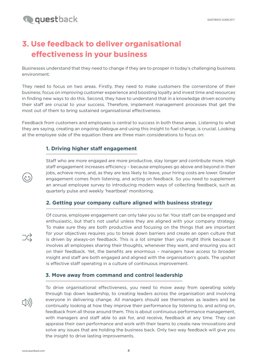### **Q**questback

## **3. Use feedback to deliver organisational effectiveness in your business**

Businesses understand that they need to change if they are to prosper in today's challenging business environment.

They need to focus on two areas. Firstly, they need to make customers the cornerstone of their business; focus on improving customer experience and boosting loyalty and invest time and resources in finding new ways to do this. Second, they have to understand that in a knowledge driven economy their staff are crucial to your success. Therefore, implement management processes that get the most out of them to bring sustained organisational effectiveness.

Feedback from customers and employees is central to success in both these areas. Listening to what they are saying, creating an ongoing dialogue and using this insight to fuel change, is crucial. Looking at the employee side of the equation there are three main considerations to focus on:

#### **1. Driving higher staff engagement**

Staff who are more engaged are more productive, stay longer and contribute more. High staff engagement increases efficiency – because employees go above and beyond in their jobs, achieve more, and, as they are less likely to leave, your hiring costs are lower. Greater engagement comes from listening, and acting on feedback. So you need to supplement an annual employee survey to introducing modern ways of collecting feedback, such as quarterly pulse and weekly 'heartbeat' monitoring.

#### **2. Getting your company culture aligned with business strategy**

Of course, employee engagement can only take you so far. Your staff can be engaged and enthusiastic, but that's not useful unless they are aligned with your company strategy. To make sure they are both productive and focusing on the things that are important for your objectives requires you to break down barriers and create an open culture that is driven by always-on feedback. This is a lot simpler than you might think because it involves all employees sharing their thoughts, whenever they want, and ensuring you act on their feedback. Yet, the benefits are enormous – managers have access to broader insight and staff are both engaged and aligned with the organisation's goals. The upshot is effective staff operating in a culture of continuous improvement.

#### **3. Move away from command and control leadership**

 $\Box$ )

ره<br>ر

 $\mathbb{R}$ 

To drive organisational effectiveness, you need to move away from operating solely through top down leadership, to creating leaders across the organisation and involving everyone in delivering change. All managers should see themselves as leaders and be continually looking at how they improve their performance by listening to, and acting on, feedback from all those around them. This is about continuous performance management, with managers and staff able to ask for, and receive, feedback at any time. They can appraise their own performance and work with their teams to create new innovations and solve any issues that are holding the business back. Only two way feedback will give you the insight to drive lasting improvements.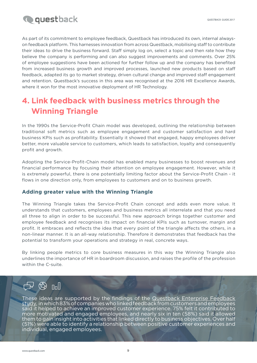

As part of its commitment to employee feedback, Questback has introduced its own, internal alwayson feedback platform. This harnesses innovation from across Questback, mobilising staff to contribute their ideas to drive the business forward. Staff simply log on, select a topic and then rate how they believe the company is performing and can also suggest improvements and comments. Over 25% of employee suggestions have been actioned for further follow up and the company has benefited from increased business growth and improved processes, launched new products based on staff feedback, adapted its go to market strategy, driven cultural change and improved staff engagement and retention. Questback's success in this area was recognised at the 2016 HR Excellence Awards, where it won for the most innovative deployment of HR Technology.

## **4. Link feedback with business metrics through the Winning Triangle**

In the 1990s the Service-Profit Chain model was developed, outlining the relationship between traditional soft metrics such as employee engagement and customer satisfaction and hard business KPIs such as profitability. Essentially it showed that engaged, happy employees deliver better, more valuable service to customers, which leads to satisfaction, loyalty and consequently profit and growth.

Adopting the Service-Profit-Chain model has enabled many businesses to boost revenues and financial performance by focusing their attention on employee engagement. However, while it is extremely powerful, there is one potentially limiting factor about the Service-Profit Chain - it flows in one direction only, from employees to customers and on to business growth.

#### **Adding greater value with the Winning Triangle**

The Winning Triangle takes the Service-Profit Chain concept and adds even more value. It understands that customers, employees and business metrics all interrelate and that you need all three to align in order to be successful. This new approach brings together customer and employee feedback and recognises its impact on financial KPIs such as turnover, margin and profit. It embraces and reflects the idea that every point of the triangle affects the others, in a non-linear manner. It is an all-way relationship. Therefore it demonstrates that feedback has the potential to transform your operations and strategy in real, concrete ways.

By linking people metrics to core business measures in this way the Winning Triangle also underlines the importance of HR in boardroom discussion, and raises the profile of the profession within the C-suite.

## $\mathbb{G}$  in  $\mathbb{G}$

These ideas are supported by the findings of the [Questback Enterprise Feedback](https://www.questback.com/uk/company-news/companies-failing-to-connect-customer-experience-and-employee-engagement) [study](https://www.questback.com/uk/company-news/companies-failing-to-connect-customer-experience-and-employee-engagement), in which 83% of companies who linked feedback from customers and employees said it helped to achieve an improved customer experience. 75% felt it contributed to more motivated and engaged employees, and nearly six in ten (58%) said it allowed them to gain insight into activities that linked directly to business objectives. Over half (51%) were able to identify a relationship between positive customer experiences and individual, engaged employees.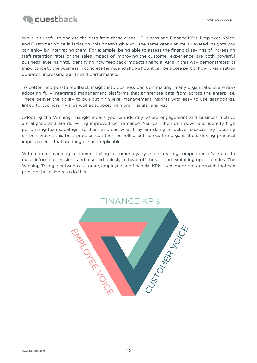

While it's useful to analyse the data from these areas - Business and Finance KPIs, Employee Voice, and Customer Voice in isolation, this doesn't give you the same granular, multi-layered insights you can enjoy by integrating them. For example, being able to assess the financial savings of increasing staff retention rates or the sales impact of improving the customer experience, are both powerful business level insights. Identifying how feedback impacts financial KPIs in this way demonstrates its importance to the business in concrete terms, and shows how it can be a core part of how organisation operates, increasing agility and performance.

To better incorporate feedback insight into business decision making, many organisations are now adopting fully integrated management platforms that aggregate data from across the enterprise. These deliver the ability to pull out high level management insights with easy to use dashboards, linked to business KPIs, as well as supporting more granular analysis.

Adopting the Winning Triangle means you can identify where engagement and business metrics are aligned and are delivering improved performance. You can then drill down and identify high performing teams, categorise them and see what they are doing to deliver success. By focusing on behaviours, this best practice can then be rolled out across the organisation, driving practical improvements that are tangible and replicable.

With more demanding customers, falling customer loyalty and increasing competition, it's crucial to make informed decisions and respond quickly to head off threats and exploiting opportunities. The Winning Triangle between customer, employee and financial KPIs is an important approach that can provide the insights to do this.

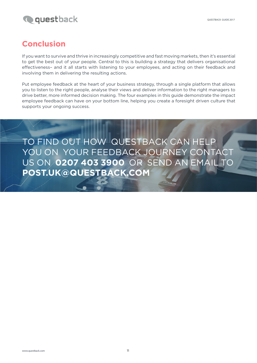

### **Conclusion**

If you want to survive and thrive in increasingly competitive and fast moving markets, then it's essential to get the best out of your people. Central to this is building a strategy that delivers organisational effectiveness– and it all starts with listening to your employees, and acting on their feedback and involving them in delivering the resulting actions.

Put employee feedback at the heart of your business strategy, through a single platform that allows you to listen to the right people, analyse their views and deliver information to the right managers to drive better, more informed decision making. The four examples in this guide demonstrate the impact employee feedback can have on your bottom line, helping you create a foresight driven culture that supports your ongoing success.

TO FIND OUT HOW QUESTBACK CAN HELP YOU ON YOUR FEEDBACK JOURNEY CONTACT US ON **0207 403 3900** OR SEND AN EMAIL TO **POST.UK@QUESTBACK.COM**